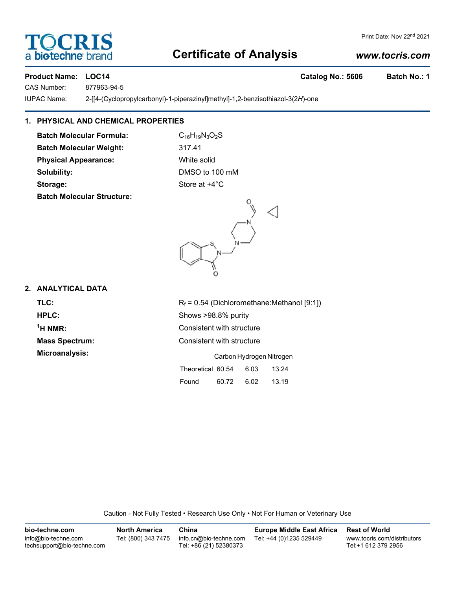# **Certificate of Analysis**

## *www.tocris.com*

### Product Name: LOC14 **Catalog No.: 5606** Batch No.: 1

CAS Number: 877963-94-5

IUPAC Name: 2-[[4-(Cyclopropylcarbonyl)-1-piperazinyl]methyl]-1,2-benzisothiazol-3(2*H*)-one

# **1. PHYSICAL AND CHEMICAL PROPERTIES**

**Batch Molecular Formula:** C<sub>16</sub>H<sub>19</sub>N<sub>3</sub>O<sub>2</sub>S **Batch Molecular Weight:** 317.41 **Physical Appearance:** White solid **Solubility:** DMSO to 100 mM

**Batch Molecular Structure:**

**Storage:** Store at  $+4^{\circ}$ C

# **2. ANALYTICAL DATA**

<sup>1</sup>H NMR:

**TLC:** R<sub>f</sub> = 0.54 (Dichloromethane:Methanol [9:1]) **HPLC:** Shows >98.8% purity **Consistent with structure Mass Spectrum:** Consistent with structure **Microanalysis:** Carbon Hydrogen Nitrogen

| Theoretical 60.54 6.03 |            | 13.24 |
|------------------------|------------|-------|
| Found                  | 60.72 6.02 | 13.19 |

Caution - Not Fully Tested • Research Use Only • Not For Human or Veterinary Use

| bio-techne.com                                    | <b>North America</b> | China                                            | <b>Europe Middle East Africa</b> | <b>Rest of World</b>                               |
|---------------------------------------------------|----------------------|--------------------------------------------------|----------------------------------|----------------------------------------------------|
| info@bio-techne.com<br>techsupport@bio-techne.com | Tel: (800) 343 7475  | info.cn@bio-techne.com<br>Tel: +86 (21) 52380373 | Tel: +44 (0)1235 529449          | www.tocris.com/distributors<br>Tel:+1 612 379 2956 |